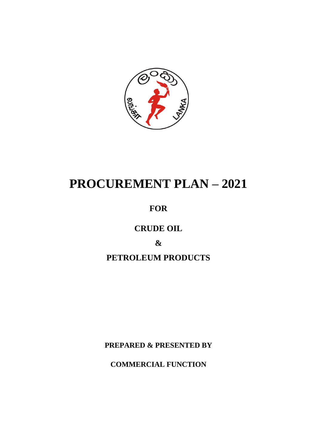

# **PROCUREMENT PLAN – 2021**

# **FOR**

# **CRUDE OIL**

# **&**

# **PETROLEUM PRODUCTS**

**PREPARED & PRESENTED BY**

**COMMERCIAL FUNCTION**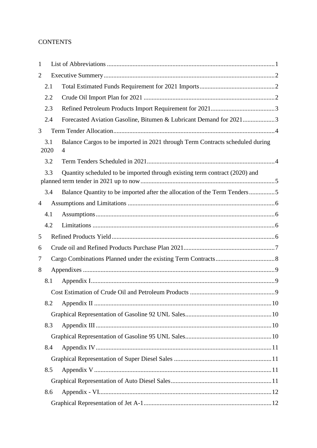#### **CONTENTS**

| 1              |             |                                                                                    |  |
|----------------|-------------|------------------------------------------------------------------------------------|--|
| $\overline{2}$ |             |                                                                                    |  |
|                | 2.1         |                                                                                    |  |
|                | 2.2         |                                                                                    |  |
|                | 2.3         |                                                                                    |  |
|                | 2.4         | Forecasted Aviation Gasoline, Bitumen & Lubricant Demand for 20213                 |  |
| 3              |             |                                                                                    |  |
|                | 3.1<br>2020 | Balance Cargos to be imported in 2021 through Term Contracts scheduled during<br>4 |  |
|                | 3.2         |                                                                                    |  |
|                | 3.3         | Quantity scheduled to be imported through existing term contract (2020) and        |  |
|                | 3.4         | Balance Quantity to be imported after the allocation of the Term Tenders5          |  |
| $\overline{4}$ |             |                                                                                    |  |
|                | 4.1         |                                                                                    |  |
|                | 4.2         |                                                                                    |  |
| 5              |             |                                                                                    |  |
| 6              |             |                                                                                    |  |
| 7              |             |                                                                                    |  |
| 8              |             |                                                                                    |  |
|                | 8.1         |                                                                                    |  |
|                |             |                                                                                    |  |
|                | 8.2         |                                                                                    |  |
|                |             |                                                                                    |  |
|                | 8.3         |                                                                                    |  |
|                |             |                                                                                    |  |
|                | 8.4         |                                                                                    |  |
|                |             |                                                                                    |  |
|                | 8.5         |                                                                                    |  |
|                |             |                                                                                    |  |
|                | 8.6         |                                                                                    |  |
|                |             |                                                                                    |  |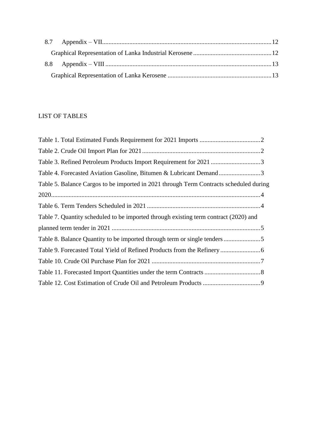### LIST OF TABLES

| Table 3. Refined Petroleum Products Import Requirement for 2021 3                      |
|----------------------------------------------------------------------------------------|
| Table 4. Forecasted Aviation Gasoline, Bitumen & Lubricant Demand3                     |
| Table 5. Balance Cargos to be imported in 2021 through Term Contracts scheduled during |
|                                                                                        |
|                                                                                        |
| Table 7. Quantity scheduled to be imported through existing term contract (2020) and   |
|                                                                                        |
|                                                                                        |
|                                                                                        |
|                                                                                        |
|                                                                                        |
|                                                                                        |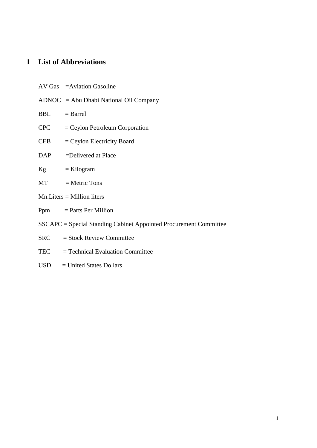# <span id="page-3-0"></span>**1 List of Abbreviations**

|                | AV Gas = Aviation Gasoline                                        |
|----------------|-------------------------------------------------------------------|
|                | $ADNOC = Abu Dhabi National Oil Company$                          |
| $BBL = Barrel$ |                                                                   |
|                | $CPC = Ceylon$ Petroleum Corporation                              |
|                | $CEB = Ceylon$ Electricity Board                                  |
|                | DAP = Delivered at Place                                          |
|                | $Kg = Kilogram$                                                   |
|                | $MT = Metric Tons$                                                |
|                | $Mn.Liters = Million liters$                                      |
|                | $Ppm = Parts Per$ Million                                         |
|                | SSCAPC = Special Standing Cabinet Appointed Procurement Committee |
|                | $SRC = Stock Review Committee$                                    |
| TEC            | $=$ Technical Evaluation Committee                                |

USD = United States Dollars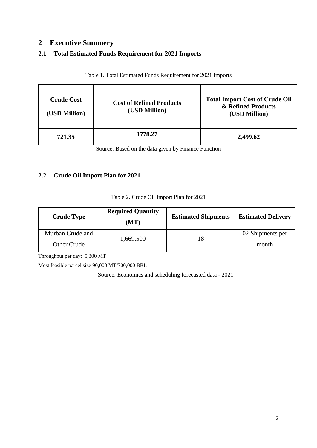### <span id="page-4-0"></span>**2 Executive Summery**

#### <span id="page-4-1"></span>**2.1 Total Estimated Funds Requirement for 2021 Imports**

<span id="page-4-3"></span>

| <b>Crude Cost</b><br>(USD Million) | <b>Cost of Refined Products</b><br>(USD Million) | <b>Total Import Cost of Crude Oil</b><br>& Refined Products<br>(USD Million) |
|------------------------------------|--------------------------------------------------|------------------------------------------------------------------------------|
| 721.35                             | 1778.27                                          | 2,499.62                                                                     |

Table 1. Total Estimated Funds Requirement for 2021 Imports

Source: Based on the data given by Finance Function

#### <span id="page-4-2"></span>**2.2 Crude Oil Import Plan for 2021**

|  |  | Table 2. Crude Oil Import Plan for 2021 |  |
|--|--|-----------------------------------------|--|
|  |  |                                         |  |

<span id="page-4-4"></span>

| <b>Crude Type</b> | <b>Required Quantity</b><br>(MT) | <b>Estimated Shipments</b> | <b>Estimated Delivery</b> |  |
|-------------------|----------------------------------|----------------------------|---------------------------|--|
| Murban Crude and  | 1,669,500                        | 18                         | 02 Shipments per          |  |
| Other Crude       |                                  |                            | month                     |  |

Throughput per day: 5,300 MT

Most feasible parcel size 90,000 MT/700,000 BBL

Source: Economics and scheduling forecasted data - 2021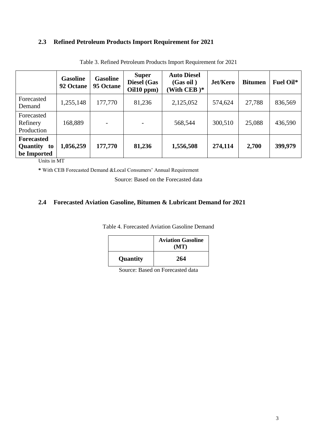#### <span id="page-5-2"></span><span id="page-5-0"></span>**2.3 Refined Petroleum Products Import Requirement for 2021**

|                                                 | <b>Gasoline</b><br>92 Octane | <b>Gasoline</b><br>95 Octane | <b>Super</b><br><b>Diesel</b> (Gas<br>Oil10 ppm) | <b>Auto Diesel</b><br>(Gas oil)<br>(With CEB) $*$ | Jet/Kero | <b>Bitumen</b> | <b>Fuel Oil*</b> |
|-------------------------------------------------|------------------------------|------------------------------|--------------------------------------------------|---------------------------------------------------|----------|----------------|------------------|
| Forecasted<br>Demand                            | 1,255,148                    | 177,770                      | 81,236                                           | 2,125,052                                         | 574,624  | 27,788         | 836,569          |
| Forecasted<br>Refinery<br>Production            | 168,889                      |                              |                                                  | 568,544                                           | 300,510  | 25,088         | 436,590          |
| <b>Forecasted</b><br>Quantity to<br>be Imported | 1,056,259                    | 177,770                      | 81,236                                           | 1,556,508                                         | 274,114  | 2,700          | 399,979          |

Table 3. Refined Petroleum Products Import Requirement for 2021

Units in MT

**\*** With CEB Forecasted Demand &Local Consumers' Annual Requirement

Source: Based on the Forecasted data

#### <span id="page-5-3"></span><span id="page-5-1"></span>**2.4 Forecasted Aviation Gasoline, Bitumen & Lubricant Demand for 2021**

Table 4. Forecasted Aviation Gasoline Demand

|          | <b>Aviation Gasoline</b><br>(MT) |
|----------|----------------------------------|
| Quantity | 264                              |

Source: Based on Forecasted data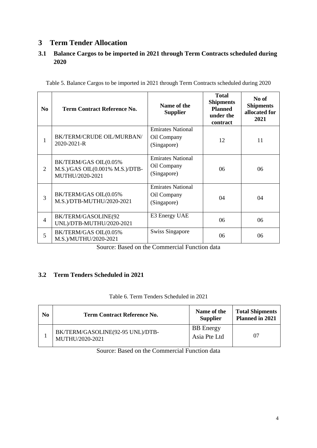## <span id="page-6-0"></span>**3 Term Tender Allocation**

#### <span id="page-6-1"></span>**3.1 Balance Cargos to be imported in 2021 through Term Contracts scheduled during 2020**

<span id="page-6-3"></span>

|  | Table 5. Balance Cargos to be imported in 2021 through Term Contracts scheduled during 2020 |  |  |  |  |  |
|--|---------------------------------------------------------------------------------------------|--|--|--|--|--|
|  |                                                                                             |  |  |  |  |  |

| N <sub>0</sub> | <b>Term Contract Reference No.</b>                                                 | Name of the<br><b>Supplier</b>                         | <b>Total</b><br><b>Shipments</b><br><b>Planned</b><br>under the<br><b>contract</b> | No of<br><b>Shipments</b><br>allocated for<br>2021 |
|----------------|------------------------------------------------------------------------------------|--------------------------------------------------------|------------------------------------------------------------------------------------|----------------------------------------------------|
| 1              | BK/TERM/CRUDE OIL/MURBAN/<br>2020-2021-R                                           | <b>Emirates National</b><br>Oil Company<br>(Singapore) | 12                                                                                 | 11                                                 |
| $\overline{2}$ | BK/TERM/GAS OIL(0.05%<br>$M.S.$ )/GAS OIL $(0.001\%$ M.S.)/DTB-<br>MUTHU/2020-2021 | <b>Emirates National</b><br>Oil Company<br>(Singapore) | 06                                                                                 | 06                                                 |
| 3              | BK/TERM/GAS OIL(0.05%<br>M.S.)/DTB-MUTHU/2020-2021                                 | <b>Emirates National</b><br>Oil Company<br>(Singapore) | 04                                                                                 | 04                                                 |
| $\overline{4}$ | BK/TERM/GASOLINE(92<br>UNL)/DTB-MUTHU/2020-2021                                    | E3 Energy UAE                                          | 06                                                                                 | 06                                                 |
| 5              | BK/TERM/GAS OIL(0.05%<br>M.S.)/MUTHU/2020-2021                                     | <b>Swiss Singapore</b>                                 | 06                                                                                 | 06                                                 |

Source: Based on the Commercial Function data

#### <span id="page-6-2"></span>**3.2 Term Tenders Scheduled in 2021**

|  |  | Table 6. Term Tenders Scheduled in 2021 |  |
|--|--|-----------------------------------------|--|
|  |  |                                         |  |

<span id="page-6-4"></span>

| N <sub>0</sub> | Term Contract Reference No.                         | Name of the<br><b>Supplier</b>   | <b>Total Shipments</b><br><b>Planned in 2021</b> |
|----------------|-----------------------------------------------------|----------------------------------|--------------------------------------------------|
|                | BK/TERM/GASOLINE(92-95 UNL)/DTB-<br>MUTHU/2020-2021 | <b>BB</b> Energy<br>Asia Pte Ltd | 07                                               |

Source: Based on the Commercial Function data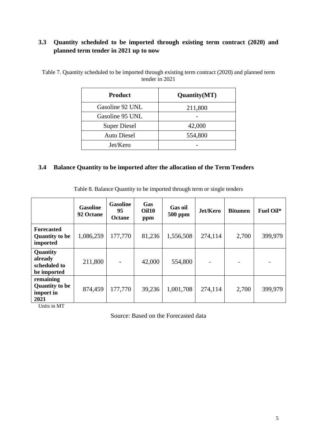#### <span id="page-7-0"></span>**3.3 Quantity scheduled to be imported through existing term contract (2020) and planned term tender in 2021 up to now**

| <b>Product</b>      | Quantity(MT) |
|---------------------|--------------|
| Gasoline 92 UNL     | 211,800      |
| Gasoline 95 UNL     |              |
| <b>Super Diesel</b> | 42,000       |
| <b>Auto Diesel</b>  | 554,800      |
| Jet/Kero            |              |

<span id="page-7-2"></span>Table 7. Quantity scheduled to be imported through existing term contract (2020) and planned term tender in 2021

#### <span id="page-7-1"></span>**3.4 Balance Quantity to be imported after the allocation of the Term Tenders**

|  |  |  |  | Table 8. Balance Quantity to be imported through term or single tenders |
|--|--|--|--|-------------------------------------------------------------------------|
|--|--|--|--|-------------------------------------------------------------------------|

<span id="page-7-3"></span>

|                                                         | <b>Gasoline</b><br>92 Octane | <b>Gasoline</b><br>95<br>Octane | <b>Gas</b><br>Oil10<br>ppm | <b>Gas oil</b><br><b>500 ppm</b> | Jet/Kero                 | <b>Bitumen</b> | Fuel Oil* |
|---------------------------------------------------------|------------------------------|---------------------------------|----------------------------|----------------------------------|--------------------------|----------------|-----------|
| <b>Forecasted</b><br><b>Quantity to be</b><br>imported  | 1,086,259                    | 177,770                         | 81,236                     | 1,556,508                        | 274,114                  | 2,700          | 399,979   |
| Quantity<br>already<br>scheduled to<br>be imported      | 211,800                      |                                 | 42,000                     | 554,800                          | $\overline{\phantom{a}}$ |                |           |
| remaining<br><b>Quantity to be</b><br>import in<br>2021 | 874,459                      | 177,770                         | 39,236                     | 1,001,708                        | 274,114                  | 2,700          | 399,979   |

Units in MT

Source: Based on the Forecasted data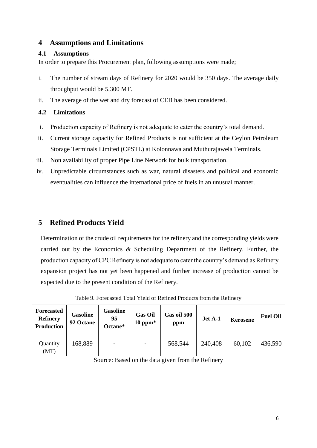#### <span id="page-8-0"></span>**4 Assumptions and Limitations**

#### <span id="page-8-1"></span>**4.1 Assumptions**

In order to prepare this Procurement plan, following assumptions were made;

- i. The number of stream days of Refinery for 2020 would be 350 days. The average daily throughput would be 5,300 MT.
- ii. The average of the wet and dry forecast of CEB has been considered.

#### <span id="page-8-2"></span>**4.2 Limitations**

- i. Production capacity of Refinery is not adequate to cater the country's total demand.
- ii. Current storage capacity for Refined Products is not sufficient at the Ceylon Petroleum Storage Terminals Limited (CPSTL) at Kolonnawa and Muthurajawela Terminals.
- iii. Non availability of proper Pipe Line Network for bulk transportation.
- iv. Unpredictable circumstances such as war, natural disasters and political and economic eventualities can influence the international price of fuels in an unusual manner.

### <span id="page-8-3"></span>**5 Refined Products Yield**

Determination of the crude oil requirements for the refinery and the corresponding yields were carried out by the Economics & Scheduling Department of the Refinery. Further, the production capacity of CPC Refinery is not adequate to cater the country's demand as Refinery expansion project has not yet been happened and further increase of production cannot be expected due to the present condition of the Refinery.

<span id="page-8-4"></span>

| <b>Forecasted</b><br><b>Refinery</b><br><b>Production</b> | <b>Gasoline</b><br>92 Octane | <b>Gasoline</b><br>95<br>Octane* | <b>Gas Oil</b><br>$10~\mathrm{ppm*}$ | Gas oil 500<br>ppm | Jet A-1 | <b>Kerosene</b> | <b>Fuel Oil</b> |
|-----------------------------------------------------------|------------------------------|----------------------------------|--------------------------------------|--------------------|---------|-----------------|-----------------|
| Quantity<br>(MT)                                          | 168,889                      | $\overline{\phantom{0}}$         | $\overline{\phantom{0}}$             | 568,544            | 240,408 | 60,102          | 436,590         |

Table 9. Forecasted Total Yield of Refined Products from the Refinery

Source: Based on the data given from the Refinery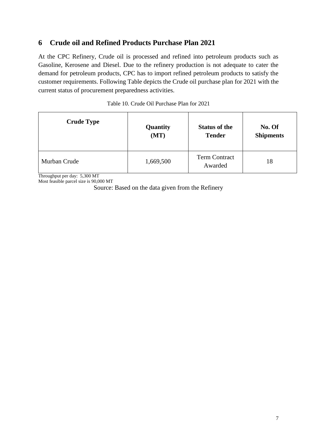### <span id="page-9-0"></span>**6 Crude oil and Refined Products Purchase Plan 2021**

At the CPC Refinery, Crude oil is processed and refined into petroleum products such as Gasoline, Kerosene and Diesel. Due to the refinery production is not adequate to cater the demand for petroleum products, CPC has to import refined petroleum products to satisfy the customer requirements. Following Table depicts the Crude oil purchase plan for 2021 with the current status of procurement preparedness activities.

<span id="page-9-1"></span>

| <b>Crude Type</b> | Quantity  | <b>Status of the</b>            | No. Of           |  |
|-------------------|-----------|---------------------------------|------------------|--|
|                   | (MT)      | <b>Tender</b>                   | <b>Shipments</b> |  |
| Murban Crude      | 1,669,500 | <b>Term Contract</b><br>Awarded | 18               |  |

Throughput per day: 5,300 MT Most feasible parcel size is 90,000 MT

Source: Based on the data given from the Refinery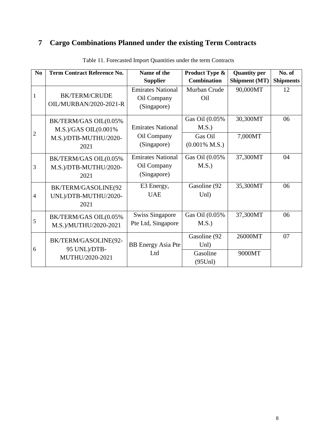# <span id="page-10-0"></span>**7 Cargo Combinations Planned under the existing Term Contracts**

<span id="page-10-1"></span>

| N <sub>0</sub> | <b>Term Contract Reference No.</b>                                                 | Name of the                                            | Product Type &                                                 | <b>Quantity per</b> | No. of           |
|----------------|------------------------------------------------------------------------------------|--------------------------------------------------------|----------------------------------------------------------------|---------------------|------------------|
|                |                                                                                    | <b>Supplier</b>                                        | <b>Combination</b>                                             | Shipment (MT)       | <b>Shipments</b> |
| 1              | <b>BK/TERM/CRUDE</b><br><b>OIL/MURBAN/2020-2021-R</b>                              | <b>Emirates National</b><br>Oil Company<br>(Singapore) | Murban Crude<br>Oil                                            | 90,000MT            | 12               |
| $\mathbf{2}$   | BK/TERM/GAS OIL(0.05%<br>M.S.)/GAS OIL $(0.001\%$<br>M.S.)/DTB-MUTHU/2020-<br>2021 | <b>Emirates National</b><br>Oil Company<br>(Singapore) | Gas Oil (0.05%<br>M.S.)<br>Gas Oil<br>$(0.001\% \text{ M.S.})$ | 30,300MT<br>7,000MT | 06               |
| 3              | BK/TERM/GAS OIL(0.05%<br>M.S.)/DTB-MUTHU/2020-<br>2021                             | <b>Emirates National</b><br>Oil Company<br>(Singapore) | Gas Oil (0.05%<br>M.S.                                         | 37,300MT            | 04               |
| $\overline{4}$ | BK/TERM/GASOLINE(92<br>UNL)/DTB-MUTHU/2020-<br>2021                                | E3 Energy,<br><b>UAE</b>                               | Gasoline (92<br>Unl)                                           | 35,300MT            | 06               |
| 5              | BK/TERM/GAS OIL(0.05%<br>M.S.)/MUTHU/2020-2021                                     | <b>Swiss Singapore</b><br>Pte Ltd, Singapore           | Gas Oil (0.05%<br>M.S.                                         | 37,300MT            | 06               |
| 6              | BK/TERM/GASOLINE(92-<br>95 UNL)/DTB-<br>MUTHU/2020-2021                            | <b>BB</b> Energy Asia Pte<br>Ltd                       | Gasoline (92<br>Unl)<br>Gasoline<br>$(95$ Unl $)$              | 26000MT<br>9000MT   | 07               |

Table 11. Forecasted Import Quantities under the term Contracts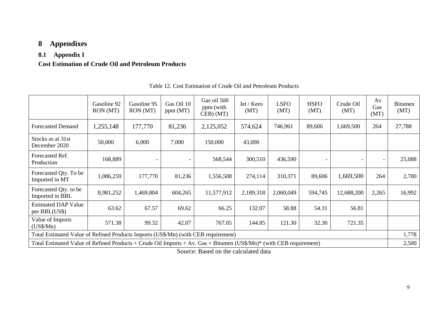# **8 Appendixes**

## **8.1 Appendix I**

### **Cost Estimation of Crude Oil and Petroleum Products**

<span id="page-11-3"></span><span id="page-11-2"></span><span id="page-11-1"></span><span id="page-11-0"></span>

|                                                                                                                     | Gasoline 92<br>RON (MT) | Gasoline 95<br>RON (MT)  | Gas Oil 10<br>ppm (MT) | Gas oil 500<br>ppm (with<br>CEB) (MT) | Jet / Kero<br>(MT) | <b>LSFO</b><br>(MT) | <b>HSFO</b><br>(MT) | Crude Oil<br>(MT)        | Av<br>Gas<br>(MT) | <b>Bitumen</b><br>(MT) |
|---------------------------------------------------------------------------------------------------------------------|-------------------------|--------------------------|------------------------|---------------------------------------|--------------------|---------------------|---------------------|--------------------------|-------------------|------------------------|
| <b>Forecasted Demand</b>                                                                                            | 1,255,148               | 177,770                  | 81,236                 | 2,125,052                             | 574,624            | 746,961             | 89,606              | 1,669,500                | 264               | 27,788                 |
| Stocks as at 31st<br>December 2020                                                                                  | 50,000                  | 6,000                    | 7,000                  | 150,000                               | 43,000             |                     |                     |                          |                   |                        |
| Forecasted Ref.<br>Production                                                                                       | 168,889                 | $\overline{\phantom{a}}$ |                        | 568,544                               | 300,510            | 436,590             |                     | $\overline{\phantom{a}}$ |                   | 25,088                 |
| Forecasted Qty. To be<br>Imported in MT                                                                             | 1,086,259               | 177,770                  | 81,236                 | 1,556,508                             | 274,114            | 310,371             | 89,606              | 1,669,500                | 264               | 2,700                  |
| Forecasted Qty. to be<br>Imported in BBL                                                                            | 8,981,252               | 1,469,804                | 604,265                | 11,577,912                            | 2,189,318          | 2,060,049           | 594,745             | 12,688,200               | 2,265             | 16,992                 |
| <b>Estimated DAP Value</b><br>per BBL(US\$)                                                                         | 63.62                   | 67.57                    | 69.62                  | 66.25                                 | 132.07             | 58.88               | 54.31               | 56.81                    |                   |                        |
| Value of Imports<br>$(US\$/Mn)$                                                                                     | 571.38                  | 99.32                    | 42.07                  | 767.05                                | 144.85             | 121.30              | 32.30               | 721.35                   |                   |                        |
| Total Estimated Value of Refined Products Imports (US\$/Mn) (with CEB requirement)                                  |                         |                          |                        |                                       |                    |                     |                     |                          |                   | 1,778                  |
| Total Estimated Value of Refined Products + Crude Oil Imports + Av. Gas + Bitumen (US\$/Mn)* (with CEB requirement) |                         |                          |                        |                                       |                    |                     |                     |                          |                   | 2,500                  |

Table 12. Cost Estimation of Crude Oil and Petroleum Products

Source: Based on the calculated data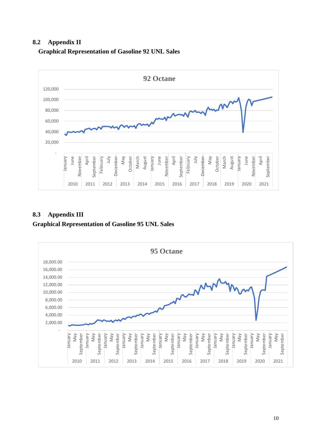#### <span id="page-12-0"></span>**8.2 Appendix II**



#### <span id="page-12-1"></span>**Graphical Representation of Gasoline 92 UNL Sales**

#### <span id="page-12-3"></span><span id="page-12-2"></span>**8.3 Appendix III Graphical Representation of Gasoline 95 UNL Sales**

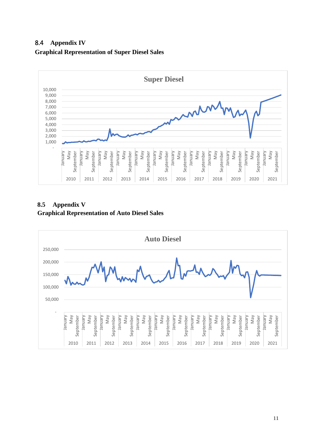<span id="page-13-1"></span><span id="page-13-0"></span>8.4 **Appendix IV Graphical Representation of Super Diesel Sales**



#### <span id="page-13-3"></span><span id="page-13-2"></span>**8.5 Appendix V Graphical Representation of Auto Diesel Sales**

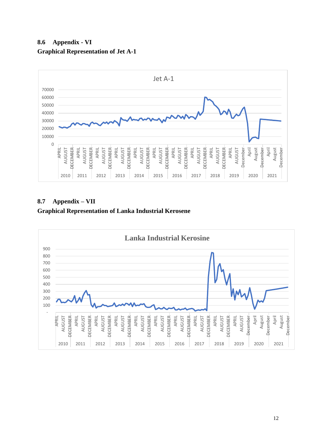<span id="page-14-1"></span><span id="page-14-0"></span>



<span id="page-14-3"></span><span id="page-14-2"></span>**8.7 Appendix – VII Graphical Representation of Lanka Industrial Kerosene**